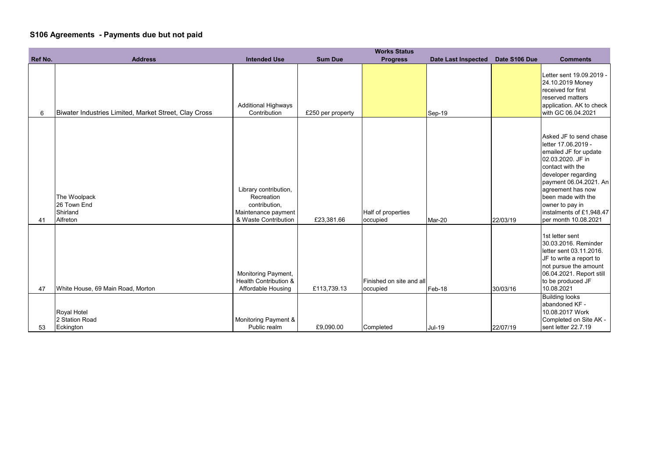## **S106 Agreements - Payments due but not paid**

|         |                                                       |                                                                                                     |                   | <b>Works Status</b>                  |                            |               |                                                                                                                                                                                                                                                                                    |
|---------|-------------------------------------------------------|-----------------------------------------------------------------------------------------------------|-------------------|--------------------------------------|----------------------------|---------------|------------------------------------------------------------------------------------------------------------------------------------------------------------------------------------------------------------------------------------------------------------------------------------|
| Ref No. | <b>Address</b>                                        | <b>Intended Use</b>                                                                                 | <b>Sum Due</b>    | <b>Progress</b>                      | <b>Date Last Inspected</b> | Date S106 Due | <b>Comments</b>                                                                                                                                                                                                                                                                    |
| 6       | Biwater Industries Limited, Market Street, Clay Cross | <b>Additional Highways</b><br>Contribution                                                          | £250 per property |                                      | Sep-19                     |               | Letter sent 19.09.2019 -<br>24.10.2019 Money<br>received for first<br>reserved matters<br>application. AK to check<br>with GC 06.04.2021                                                                                                                                           |
| 41      | The Woolpack<br>26 Town End<br>Shirland<br>Alfreton   | Library contribution,<br>Recreation<br>contribution,<br>Maintenance payment<br>& Waste Contribution | £23,381.66        | Half of properties<br>occupied       | Mar-20                     | 22/03/19      | Asked JF to send chase<br>letter 17.06.2019 -<br>emailed JF for update<br>02.03.2020. JF in<br>contact with the<br>developer regarding<br>payment 06.04.2021. An<br>agreement has now<br>been made with the<br>owner to pay in<br>instalments of £1,948.47<br>per month 10.08.2021 |
| 47      | White House, 69 Main Road, Morton                     | Monitoring Payment,<br><b>Health Contribution &amp;</b><br><b>Affordable Housing</b>                | £113,739.13       | Finished on site and all<br>occupied | Feb-18                     | 30/03/16      | 1st letter sent<br>30.03.2016. Reminder<br>letter sent 03.11.2016.<br>JF to write a report to<br>not pursue the amount<br>06.04.2021. Report still<br>to be produced JF<br>10.08.2021                                                                                              |
|         | Royal Hotel<br>2 Station Road                         | Monitoring Payment &                                                                                |                   |                                      |                            |               | <b>Building looks</b><br>abandoned KF -<br>10.08.2017 Work<br>Completed on Site AK -                                                                                                                                                                                               |
| 53      | Eckington                                             | Public realm                                                                                        | £9,090.00         | Completed                            | <b>Jul-19</b>              | 22/07/19      | sent letter 22.7.19                                                                                                                                                                                                                                                                |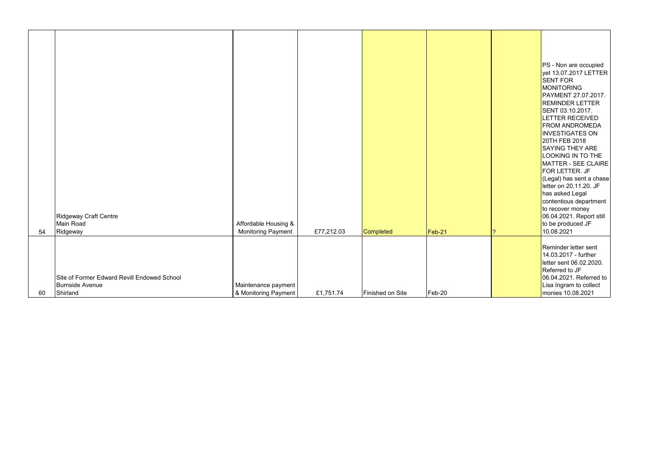|    | Ridgeway Craft Centre                       |                      |            |                  |        |
|----|---------------------------------------------|----------------------|------------|------------------|--------|
|    | Main Road                                   | Affordable Housing & |            |                  |        |
| 54 | Ridgeway                                    | Monitoring Payment   | £77,212.03 | Completed        | Feb-21 |
|    |                                             |                      |            |                  |        |
|    |                                             |                      |            |                  |        |
|    |                                             |                      |            |                  |        |
|    |                                             |                      |            |                  |        |
|    | Site of Former Edward Revill Endowed School |                      |            |                  |        |
|    | Burnside Avenue                             | Maintenance payment  |            |                  |        |
| 60 | Shirland                                    | & Monitoring Payment | £1,751.74  | Finished on Site | Feb-20 |

| PS - Non are occupied<br>yet 13.07.2017 LETTER<br><b>SENT FOR</b><br><b>MONITORING</b><br>PAYMENT 27.07.2017.<br><b>REMINDER LETTER</b><br>SENT 03.10.2017.<br><b>LETTER RECEIVED</b><br><b>FROM ANDROMEDA</b><br><b>INVESTIGATES ON</b><br>20TH FEB 2018<br><b>SAYING THEY ARE</b><br>LOOKING IN TO THE<br><b>MATTER - SEE CLAIRE</b><br>FOR LETTER. JF<br>(Legal) has sent a chase<br>letter on 20.11.20. JF<br>has asked Legal<br>contentious department<br>to recover money<br>06.04.2021. Report still<br>to be produced JF |
|----------------------------------------------------------------------------------------------------------------------------------------------------------------------------------------------------------------------------------------------------------------------------------------------------------------------------------------------------------------------------------------------------------------------------------------------------------------------------------------------------------------------------------|
| 10.08.2021<br>Reminder letter sent<br>14.03.2017 - further<br>letter sent 06.02.2020.<br>Referred to JF<br>06.04.2021. Referred to<br>Lisa Ingram to collect<br>monies 10.08.2021                                                                                                                                                                                                                                                                                                                                                |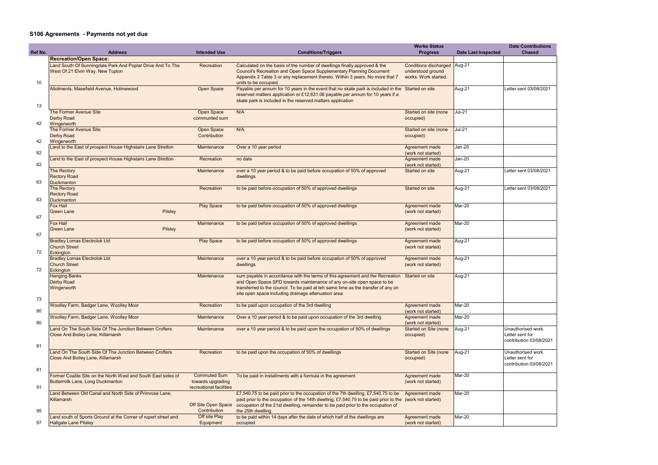## **S106 Agreements - Payments not yet due**

|         |                                                                |                                     |                                                                                                                           | <b>Works Status</b>                         |                            | <b>Date Contributions</b> |
|---------|----------------------------------------------------------------|-------------------------------------|---------------------------------------------------------------------------------------------------------------------------|---------------------------------------------|----------------------------|---------------------------|
| Ref No. | <b>Address</b>                                                 | <b>Intended Use</b>                 | <b>Conditions/Triggers</b>                                                                                                | <b>Progress</b>                             | <b>Date Last Inspected</b> | <b>Chased</b>             |
|         | <b>Recreation/Open Space:</b>                                  |                                     |                                                                                                                           |                                             |                            |                           |
|         | Land South Of Sunningdale Park And Poplar Drive And To The     | Recreation                          | Calculated on the basis of the number of dwellings finally approved & the                                                 | Conditions discharged Aug-21                |                            |                           |
|         | West Of 21 Elvin Way, New Tupton                               |                                     | Council's Recreation and Open Space Supplementary Planning Document                                                       | understood ground                           |                            |                           |
|         |                                                                |                                     | Appendix 2 Table 3 or any replacement thereto. Within 3 years. No more that 7                                             | works. Work started                         |                            |                           |
| 10      | Allotments, Masefield Avenue, Holmewood                        | Open Space                          | units to be occupied<br>Payable per annum for 10 years in the event that no skate park is included in the Started on site |                                             | Aug-21                     | Letter sent 03/08/2021    |
|         |                                                                |                                     | reserved matters application or £12,631.06 payable per annum for 10 years if a                                            |                                             |                            |                           |
|         |                                                                |                                     | skate park is included in the reserved matters application                                                                |                                             |                            |                           |
| 13      |                                                                |                                     |                                                                                                                           |                                             |                            |                           |
|         | The Former Avenue Site                                         | Open Space                          | N/A                                                                                                                       | Started on site (none                       | $Jul-21$                   |                           |
|         | <b>Derby Road</b>                                              | communted sum                       |                                                                                                                           | occupied)                                   |                            |                           |
| 42      | Wingerworth                                                    |                                     |                                                                                                                           |                                             |                            |                           |
|         | The Former Avenue Site                                         | Open Space                          | N/A                                                                                                                       | Started on site (none                       | $Jul-21$                   |                           |
|         | <b>Derby Road</b>                                              | Contribution                        |                                                                                                                           | occupied)                                   |                            |                           |
| 42      | Wingerworth                                                    |                                     |                                                                                                                           |                                             |                            |                           |
|         | Land to the East of prospect House Highstairs Lane Stretton    | Maintenance                         | Over a 10 year period                                                                                                     | Agreement made                              | $Jan-20$                   |                           |
| 62      |                                                                |                                     |                                                                                                                           | (work not started)                          |                            |                           |
| 62      | Land to the East of prospect House Highstairs Lane Stretton    | Recreation                          | no date                                                                                                                   | Agreement made<br>(work not started)        | $Jan-20$                   |                           |
|         | The Rectory                                                    | Maintenance                         | over a 10 year period & to be paid before occupation of 50% of approved                                                   | Started on site                             | Aug-21                     | Letter sent 03/08/2021    |
|         | <b>Rectory Road</b>                                            |                                     | dwellings                                                                                                                 |                                             |                            |                           |
| 63      | <b>Duckmanton</b>                                              |                                     |                                                                                                                           |                                             |                            |                           |
|         | The Rectory                                                    | Recreation                          | to be paid before occupation of 50% of approved dwellings                                                                 | Started on site                             | Aug-21                     | Letter sent 03/08/2021    |
|         | <b>Rectory Road</b>                                            |                                     |                                                                                                                           |                                             |                            |                           |
| 63      | <b>Duckmanton</b>                                              |                                     |                                                                                                                           |                                             |                            |                           |
|         | <b>Fox Hall</b>                                                | <b>Play Space</b>                   | to be paid before occupation of 50% of approved dwellings                                                                 | Agreement made                              | Mar-20                     |                           |
|         | Pilsley<br><b>Green Lane</b>                                   |                                     |                                                                                                                           | (work not started)                          |                            |                           |
| 67      |                                                                |                                     |                                                                                                                           |                                             |                            |                           |
|         | <b>Fox Hall</b>                                                | Maintenance                         | to be paid before occupation of 50% of approved dwellings                                                                 | Agreement made                              | Mar-20                     |                           |
|         | <b>Green Lane</b><br>Pilsley                                   |                                     |                                                                                                                           | (work not started)                          |                            |                           |
| 67      |                                                                |                                     |                                                                                                                           |                                             |                            |                           |
|         | <b>Bradley Lomas Electrolok Ltd</b>                            | <b>Play Space</b>                   | to be paid before occupation of 50% of approved dwellings                                                                 | Agreement made                              | Aug-21                     |                           |
| 72      | <b>Church Street</b><br>Eckington                              |                                     |                                                                                                                           | (work not started)                          |                            |                           |
|         | <b>Bradley Lomas Electrolok Ltd</b>                            | Maintenance                         | over a 10 year period & to be paid before occupation of 50% of approved                                                   | Agreement made                              | Aug-21                     |                           |
|         | <b>Church Street</b>                                           |                                     | dwellings                                                                                                                 | (work not started)                          |                            |                           |
| 72      | Eckington                                                      |                                     |                                                                                                                           |                                             |                            |                           |
|         | <b>Hanging Banks</b>                                           | Maintenance                         | sum payable in accordance with the terms of this agreement and the Recreation Started on site                             |                                             | Aug-21                     |                           |
|         | <b>Derby Road</b>                                              |                                     | and Open Space SPD towards maintenance of any on-site open space to be                                                    |                                             |                            |                           |
|         | Wingerworth                                                    |                                     | transferred to the council. To be paid at teh same time as the transfer of any on                                         |                                             |                            |                           |
|         |                                                                |                                     | site open space including drainage attenuation area                                                                       |                                             |                            |                           |
| 73      |                                                                |                                     |                                                                                                                           |                                             |                            |                           |
|         | Woolley Farm, Badger Lane, Woolley Moor                        | Recreation                          | to be paid upon occupation of the 3rd dwelling                                                                            | Agreement made                              | Mar-20                     |                           |
| 80      |                                                                |                                     |                                                                                                                           | (work not started)                          |                            |                           |
|         | Woolley Farm, Badger Lane, Woolley Moor                        | Maintenance                         | Over a 10 year period & to be paid upon occupation of the 3rd dwelling                                                    | Agreement made                              | Mar-20                     |                           |
| 80      | Land On The South Side Of The Junction Between Crofters        | Maintenance                         | over a 10 year period & to be paid upon the occupation of 50% of dwellings                                                | (work not started)<br>Started on Site (none | Aug-21                     | Unauthorised work.        |
|         | Close And Boiley Lane, Killamarsh                              |                                     |                                                                                                                           | occupied)                                   |                            | Letter sent for           |
|         |                                                                |                                     |                                                                                                                           |                                             |                            | contribution 03/08/2021   |
| 81      |                                                                |                                     |                                                                                                                           |                                             |                            |                           |
|         | Land On The South Side Of The Junction Between Crofters        | Recreation                          | to be paid upon the occupation of 50% of dwellings                                                                        | Started on Site (none                       | Aug-21                     | Unauthorised work.        |
|         | Close And Boiley Lane, Killamarsh                              |                                     |                                                                                                                           | occupied)                                   |                            | Letter sent for           |
|         |                                                                |                                     |                                                                                                                           |                                             |                            | contribution 03/08/2021   |
| 81      |                                                                |                                     |                                                                                                                           |                                             |                            |                           |
|         | Former Coalite Site on the North West and South East sides of  | <b>Commuted Sum</b>                 | To be paid in installments with a formula in the agreement                                                                | Agreement made                              | Mar-20                     |                           |
|         | <b>Buttermilk Lane, Long Duckmanton</b>                        | towards upgrading                   |                                                                                                                           | (work not started)                          |                            |                           |
| 91      |                                                                | recreational facilities             |                                                                                                                           |                                             |                            |                           |
|         | Land Between Old Canal and North Side of Primrose Lane,        |                                     | £7,540.75 to be paid prior to the occupation of the 7th dwelling, £7,540.75 to be                                         | Agreement made                              | Mar-20                     |                           |
|         | Killamarsh                                                     |                                     | paid prior to the occupation of the 14th dwelling, £7,540.75 to be paid prior to the (work not started)                   |                                             |                            |                           |
| 95      |                                                                | Off Site Open Space<br>Contribution | occupation of the 21st dwelling, remainder to be paid prior to the occupation of<br>the 25th dwelling                     |                                             |                            |                           |
|         | Land south of Sports Ground at the Corner of rupert street and | Off site Play                       | to be paid within 14 days after the date of which half of the dwellings are                                               | Agreement made                              | Mar-20                     |                           |
| 97      | <b>Hallgate Lane Pilsley</b>                                   | Equipment                           | occupied                                                                                                                  | (work not started)                          |                            |                           |
|         |                                                                |                                     |                                                                                                                           |                                             |                            |                           |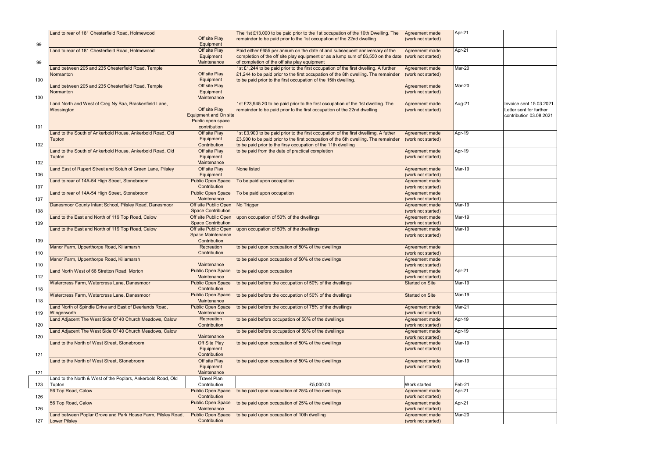|     | Land to rear of 181 Chesterfield Road, Holmewood             |                                          | The 1st £13,000 to be paid prior to the 1st occupation of the 10th Dwelling. The                    | Agreement made                       | Apr-21        |                          |
|-----|--------------------------------------------------------------|------------------------------------------|-----------------------------------------------------------------------------------------------------|--------------------------------------|---------------|--------------------------|
|     |                                                              | Off site Play                            | remainder to be paid prior to the 1st occupation of the 22nd dwelling                               | (work not started)                   |               |                          |
| 99  |                                                              | Equipment                                |                                                                                                     |                                      |               |                          |
|     | Land to rear of 181 Chesterfield Road, Holmewood             | Off site Play                            | Paid either £655 per annum on the date of and subsequent anniversary of the                         | Agreement made                       | Apr-21        |                          |
|     |                                                              | Equipment                                | completion of the off site play equipment or as a lump sum of £6,550 on the date (work not started) |                                      |               |                          |
| 99  |                                                              | Maintenance                              | of completion of the off site play equipment                                                        |                                      |               |                          |
|     | Land between 205 and 235 Chesterfield Road, Temple           |                                          | 1st £1,244 to be paid prior to the first occupation of the first dwelling. A further                | Agreement made                       | Mar-20        |                          |
|     | Normanton                                                    | Off site Play                            | £1,244 to be paid prior to the first occupation of the 8th dwelling. The remainder                  | (work not started)                   |               |                          |
| 100 |                                                              | Equipment                                | to be paid prior to the first occupation of the 15th dwelling.                                      |                                      |               |                          |
|     | Land between 205 and 235 Chesterfield Road, Temple           | Off site Play                            |                                                                                                     | Agreement made                       | Mar-20        |                          |
|     | Normanton                                                    | Equipment                                |                                                                                                     | (work not started)                   |               |                          |
| 100 |                                                              | Maintenance                              |                                                                                                     |                                      |               |                          |
|     | Land North and West of Creg Ny Baa, Brackenfield Lane,       |                                          | 1st £23,945.20 to be paid prior to the first occupation of the 1st dwelling. The                    | Agreement made                       | Aug-21        | Invoice sent 15.03.2021. |
|     | Wessington                                                   | Off site Play                            | remainder to be paid prior to the first occupation of the 22nd dwelling                             | (work not started)                   |               | Letter sent for further  |
|     |                                                              | <b>Equipment and On site</b>             |                                                                                                     |                                      |               | contribution 03.08.2021  |
| 101 |                                                              | Public open space<br>contribution        |                                                                                                     |                                      |               |                          |
|     | Land to the South of Ankerbold House, Ankerbold Road, Old    | Off site Play                            | 1st £3,900 to be paid prior to the first occupation of the first dwellimg. A futher                 | Agreement made                       | Apr-19        |                          |
|     | Tupton                                                       | Equipment                                | £3,900 to be paid prior to the first occupation of the 6th dwelling. The remainder                  | (work not started)                   |               |                          |
| 102 |                                                              | Contribution                             | to be paid prior to the firsy occupation of the 11th dwelling                                       |                                      |               |                          |
|     | Land to the South of Ankerbold House, Ankerbold Road, Old    | Off site Play                            | to be paid from the date of practical completion                                                    | Agreement made                       | Apr-19        |                          |
|     | <b>Tupton</b>                                                | Equipment                                |                                                                                                     | (work not started)                   |               |                          |
| 102 |                                                              | Maintenance                              |                                                                                                     |                                      |               |                          |
|     | Land East of Rupert Street and Sotuh of Green Lane, Pilsley  | Off site Play                            | None listed                                                                                         | Agreement made                       | Mar-19        |                          |
| 106 |                                                              | Equipment                                |                                                                                                     | (work not started)                   |               |                          |
|     | Land to rear of 14A-54 High Street, Stonebroom               | <b>Public Open Space</b>                 | To be paid upon occupation                                                                          | Agreement made                       |               |                          |
| 107 |                                                              | Contribution                             |                                                                                                     | (work not started)                   |               |                          |
|     | Land to rear of 14A-54 High Street, Stonebroom               | <b>Public Open Space</b>                 | To be paid upon occupation                                                                          | Agreement made                       |               |                          |
| 107 |                                                              | Maintenance                              |                                                                                                     | (work not started)                   |               |                          |
|     | Danesmoor County Infant School, Pilsley Road, Danesmoor      | Off site Public Open No Trigger          |                                                                                                     | Agreement made                       | Mar-19        |                          |
| 108 |                                                              | <b>Space Contribution</b>                |                                                                                                     | (work not started)                   |               |                          |
|     | Land to the East and North of 119 Top Road, Calow            | Off site Public Open                     | upon occupation of 50% of the dwellings                                                             | Agreement made                       | Mar-19        |                          |
| 109 |                                                              | <b>Space Contribution</b>                |                                                                                                     | (work not started)                   |               |                          |
|     | Land to the East and North of 119 Top Road, Calow            | Off site Public Open                     | upon occupation of 50% of the dwellings                                                             | Agreement made                       | Mar-19        |                          |
|     |                                                              | <b>Space Maintenance</b>                 |                                                                                                     | (work not started)                   |               |                          |
| 109 |                                                              | Contribution                             |                                                                                                     |                                      |               |                          |
|     | Manor Farm, Upperthorpe Road, Killamarsh                     | Recreation                               | to be paid upon occupation of 50% of the dwellings                                                  | Agreement made                       |               |                          |
| 110 |                                                              | Contribution                             |                                                                                                     | (work not started)                   |               |                          |
|     | Manor Farm, Upperthorpe Road, Killamarsh                     |                                          | to be paid upon occupation of 50% of the dwellings                                                  | Agreement made                       |               |                          |
| 110 |                                                              | Maintenance                              |                                                                                                     | (work not started)                   |               |                          |
|     | Land North West of 66 Stretton Road, Morton                  | <b>Public Open Space</b>                 | to be paid upon occupation                                                                          | Agreement made<br>(work not started) | Apr-21        |                          |
| 112 |                                                              | Maintenance                              | to be paid before the occupation of 50% of the dwellings                                            | <b>Started on Site</b>               | Mar-19        |                          |
| 118 | Watercress Farm, Watercress Lane, Danesmoor                  | <b>Public Open Space</b><br>Contribution |                                                                                                     |                                      |               |                          |
|     | Watercress Farm, Watercress Lane, Danesmoor                  | Public Open Space                        | to be paid before the occupation of 50% of the dwellings                                            | <b>Started on Site</b>               | <b>Mar-19</b> |                          |
| 118 |                                                              | Maintenance                              |                                                                                                     |                                      |               |                          |
|     | Land North of Spindle Drive and East of Deerlands Road,      | <b>Public Open Space</b>                 | to be paid before the occupation of 75% of the dwellings                                            | Agreement made                       | Mar-21        |                          |
| 119 | Wingerworth                                                  | Maintenance                              |                                                                                                     | (work not started)                   |               |                          |
|     | Land Adjacent The West Side Of 40 Church Meadows, Calow      | Recreation                               | to be paid before occupation of 50% of the dwellings                                                | Agreement made                       | Apr-19        |                          |
| 120 |                                                              | Contribution                             |                                                                                                     | (work not started)                   |               |                          |
|     | Land Adjacent The West Side Of 40 Church Meadows, Calow      |                                          | to be paid before occupation of 50% of the dwellings                                                | Agreement made                       | Apr-19        |                          |
| 120 |                                                              | Maintenance                              |                                                                                                     | (work not started)                   |               |                          |
|     | Land to the North of West Street, Stonebroom                 | Off Site Play                            | to be paid upon occupation of 50% of the dwellings                                                  | Agreement made                       | <b>Mar-19</b> |                          |
|     |                                                              | Equipment                                |                                                                                                     | (work not started)                   |               |                          |
| 121 |                                                              | Contribution                             |                                                                                                     |                                      |               |                          |
|     | Land to the North of West Street, Stonebroom                 | Off site Play                            | to be paid upon occupation of 50% of the dwellings                                                  | Agreement made                       | <b>Mar-19</b> |                          |
|     |                                                              | Equipment                                |                                                                                                     | (work not started)                   |               |                          |
| 121 |                                                              | Maintenance                              |                                                                                                     |                                      |               |                          |
|     | Land to the North & West of the Poplars, Ankerbold Road, Old | <b>Travel Plan</b>                       |                                                                                                     |                                      |               |                          |
| 123 | Tupton                                                       | Contribution                             | £5,000.00                                                                                           | Work started                         | Feb-21        |                          |
|     | 56 Top Road, Calow                                           | <b>Public Open Space</b>                 | to be paid upon occupation of 25% of the dwellings                                                  | Agreement made                       | Apr-21        |                          |
| 126 |                                                              | Contribution                             |                                                                                                     | (work not started)                   |               |                          |
|     | 56 Top Road, Calow                                           | <b>Public Open Space</b>                 | to be paid upon occupation of 25% of the dwellings                                                  | Agreement made                       | Apr-21        |                          |
| 126 |                                                              | Maintenance                              |                                                                                                     | (work not started)                   |               |                          |
|     | Land between Poplar Grove and Park House Farm, Pilsley Road, | <b>Public Open Space</b>                 | to be paid upon occupation of 10th dwelling                                                         | Agreement made                       | Mar-20        |                          |
| 127 | <b>Lower Pilsley</b>                                         | Contribution                             |                                                                                                     | (work not started)                   |               |                          |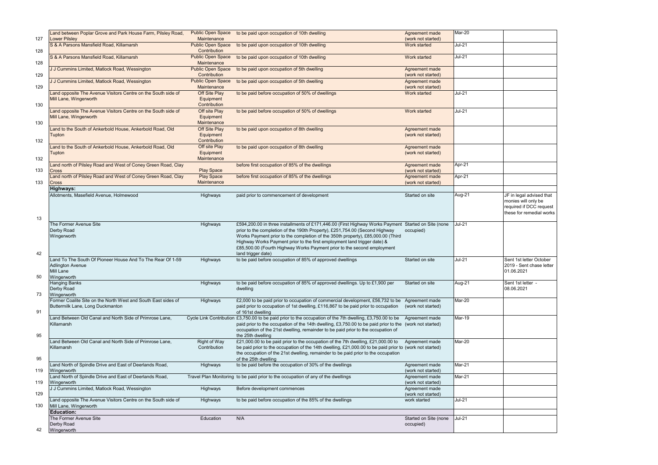|     | Land between Poplar Grove and Park House Farm, Pilsley Road,                                                             | <b>Public Open Space</b>                 | to be paid upon occupation of 10th dwelling                                                                                                                                                                                                                                                                                   | Agreement made                                             | Mar-20        |                                                                            |
|-----|--------------------------------------------------------------------------------------------------------------------------|------------------------------------------|-------------------------------------------------------------------------------------------------------------------------------------------------------------------------------------------------------------------------------------------------------------------------------------------------------------------------------|------------------------------------------------------------|---------------|----------------------------------------------------------------------------|
| 127 | <b>Lower Pilsley</b>                                                                                                     | Maintenance                              |                                                                                                                                                                                                                                                                                                                               | (work not started)                                         |               |                                                                            |
| 128 | S & A Parsons Mansfield Road, Killamarsh                                                                                 | <b>Public Open Space</b><br>Contribution | to be paid upon occupation of 10th dwelling                                                                                                                                                                                                                                                                                   | Work started                                               | <b>Jul-21</b> |                                                                            |
| 128 | S & A Parsons Mansfield Road, Killamarsh                                                                                 | <b>Public Open Space</b><br>Maintenance  | to be paid upon occupation of 10th dwelling                                                                                                                                                                                                                                                                                   | Work started                                               | $Jul-21$      |                                                                            |
| 129 | J J Cummins Limited, Matlock Road, Wessington                                                                            | <b>Public Open Space</b><br>Contribution | to be paid upon occupation of 5th dwelling                                                                                                                                                                                                                                                                                    | Agreement made<br>(work not started)                       |               |                                                                            |
| 129 | J J Cummins Limited, Matlock Road, Wessington                                                                            | <b>Public Open Space</b><br>Maintenance  | to be paid upon occupation of 5th dwelling                                                                                                                                                                                                                                                                                    | Agreement made<br>(work not started)                       |               |                                                                            |
|     | Land opposite The Avenue Visitors Centre on the South side of                                                            | Off Site Play                            | to be paid before occupation of 50% of dwellings                                                                                                                                                                                                                                                                              | Work started                                               | $Jul-21$      |                                                                            |
| 130 | Mill Lane, Wingerworth                                                                                                   | Equipment<br>Contribution                |                                                                                                                                                                                                                                                                                                                               |                                                            |               |                                                                            |
|     | Land opposite The Avenue Visitors Centre on the South side of                                                            | Off site Play                            | to be paid before occupation of 50% of dwellings                                                                                                                                                                                                                                                                              | Work started                                               | <b>Jul-21</b> |                                                                            |
| 130 | Mill Lane, Wingerworth                                                                                                   | Equipment<br>Maintenance                 |                                                                                                                                                                                                                                                                                                                               |                                                            |               |                                                                            |
|     | Land to the South of Ankerbold House, Ankerbold Road, Old                                                                | Off Site Play                            | to be paid upon occupation of 8th dwelling                                                                                                                                                                                                                                                                                    | Agreement made                                             |               |                                                                            |
| 132 | <b>Tupton</b>                                                                                                            | Equipment<br>Contribution                |                                                                                                                                                                                                                                                                                                                               | (work not started)                                         |               |                                                                            |
|     | Land to the South of Ankerbold House, Ankerbold Road, Old                                                                | Off site Play                            | to be paid upon occupation of 8th dwelling                                                                                                                                                                                                                                                                                    | Agreement made                                             |               |                                                                            |
|     | <b>Tupton</b>                                                                                                            | Equipment                                |                                                                                                                                                                                                                                                                                                                               | (work not started)                                         |               |                                                                            |
| 132 | Land north of Pilsley Road and West of Coney Green Road, Clay                                                            | Maintenance                              | before first occupation of 85% of the dwellings                                                                                                                                                                                                                                                                               |                                                            | Apr-21        |                                                                            |
| 133 | Cross                                                                                                                    | <b>Play Space</b>                        |                                                                                                                                                                                                                                                                                                                               | <b>Agreement made</b><br>(work not started)                |               |                                                                            |
|     | Land north of Pilsley Road and West of Coney Green Road, Clay                                                            | <b>Play Space</b>                        | before first occupation of 85% of the dwellings                                                                                                                                                                                                                                                                               | Agreement made                                             | Apr-21        |                                                                            |
| 133 | <b>Cross</b>                                                                                                             | Maintenance                              |                                                                                                                                                                                                                                                                                                                               | (work not started)                                         |               |                                                                            |
|     | Highways:<br>Allotments, Masefield Avenue, Holmewood                                                                     | Highways                                 | paid prior to commencement of development                                                                                                                                                                                                                                                                                     | Started on site                                            | Aug-21        | JF in legal advised that                                                   |
| 13  |                                                                                                                          |                                          |                                                                                                                                                                                                                                                                                                                               |                                                            |               | monies will only be<br>required if DCC request<br>these for remedial works |
|     | The Former Avenue Site<br>Derby Road                                                                                     | Highways                                 | £594,200.00 in three installments of £171,446.00 (First Highway Works Payment Started on Site (none<br>prior to the completion of the 190th Property), £251,754.00 (Second Highway                                                                                                                                            | occupied)                                                  | <b>Jul-21</b> |                                                                            |
| 42  | Wingerworth                                                                                                              |                                          | Works Payment prior to the completion of the 350th property), £85,000.00 (Third<br>Highway Works Payment prior to the first employment land trigger date) &<br>£85,500.00 (Fourth Highway Works Payment prior to the second employment<br>land trigger date)                                                                  |                                                            |               |                                                                            |
| 50  | Land To The South Of Pioneer House And To The Rear Of 1-59<br><b>Adlington Avenue</b><br><b>Mill Lane</b><br>Wingerworth | Highways                                 | to be paid before occupation of 85% of approved dwellings                                                                                                                                                                                                                                                                     | Started on site                                            | $Jul-21$      | Sent 1st letter October<br>2019 - Sent chase letter<br>01.06.2021          |
|     | <b>Hanging Banks</b>                                                                                                     | Highways                                 | to be paid before occupation of 85% of approved dwellings. Up to £1,900 per                                                                                                                                                                                                                                                   | Started on site                                            | Aug-21        | Sent 1st letter -                                                          |
| 73  | Derby Road<br>Wingerworth                                                                                                |                                          | dwelling                                                                                                                                                                                                                                                                                                                      |                                                            |               | 08.06.2021                                                                 |
|     | Former Coalite Site on the North West and South East sides of                                                            | Highways                                 | £2,000 to be paid prior to occupation of commercial development, £56,732 to be Agreement made                                                                                                                                                                                                                                 |                                                            | Mar-20        |                                                                            |
| 91  | Buttermilk Lane, Long Duckmanton                                                                                         |                                          | paid prior to occupation of 1st dwelling, £116,867 to be paid prior to occupation<br>of 161st dwelling                                                                                                                                                                                                                        | (work not started)                                         |               |                                                                            |
| 95  | Land Between Old Canal and North Side of Primrose Lane,<br>Killamarsh                                                    |                                          | Cycle Link Contribution £3,750.00 to be paid prior to the occupation of the 7th dwelling, £3,750.00 to be<br>paid prior to the occupation of the 14th dwelling, £3,750.00 to be paid prior to the (work not started)<br>occupation of the 21st dwelling, remainder to be paid prior to the occupation of<br>the 25th dwelling | Agreement made                                             | Mar-19        |                                                                            |
| 95  | Land Between Old Canal and North Side of Primrose Lane,<br>Killamarsh                                                    | Right of Way<br>Contribution             | £21,000.00 to be paid prior to the occupation of the 7th dwelling, £21,000.00 to<br>be paid prior to the occupation of the 14th dwelling, £21,000.00 to be paid prior to (work not started)<br>the occupation of the 21st dwelling, remainder to be paid prior to the occupation<br>of the 25th dwelling                      | Agreement made                                             | Mar-20        |                                                                            |
| 119 | Land North of Spindle Drive and East of Deerlands Road,                                                                  | Highways                                 | to be paid before the occupation of 30% of the dwellings                                                                                                                                                                                                                                                                      | Agreement made                                             | Mar-21        |                                                                            |
| 119 | Wingerworth<br>Land North of Spindle Drive and East of Deerlands Road,                                                   |                                          | Travel Plan Monitoring to be paid prior to the occupation of any of the dwellings                                                                                                                                                                                                                                             | (work not started)<br>Agreement made                       | Mar-21        |                                                                            |
| 129 | Wingerworth<br>J J Cummins Limited, Matlock Road, Wessington                                                             | Highways                                 | Before development commences                                                                                                                                                                                                                                                                                                  | (work not started)<br>Agreement made<br>(work not started) |               |                                                                            |
|     | Land opposite The Avenue Visitors Centre on the South side of                                                            | Highways                                 | to be paid before occupation of the 85% of the dwellings                                                                                                                                                                                                                                                                      | work started                                               | $Jul-21$      |                                                                            |
| 130 | Mill Lane, Wingerworth<br><b>Education:</b>                                                                              |                                          |                                                                                                                                                                                                                                                                                                                               |                                                            |               |                                                                            |
| 42  | The Former Avenue Site<br>Derby Road<br>Wingerworth                                                                      | Education                                | N/A                                                                                                                                                                                                                                                                                                                           | Started on Site (none<br>occupied)                         | $Jul-21$      |                                                                            |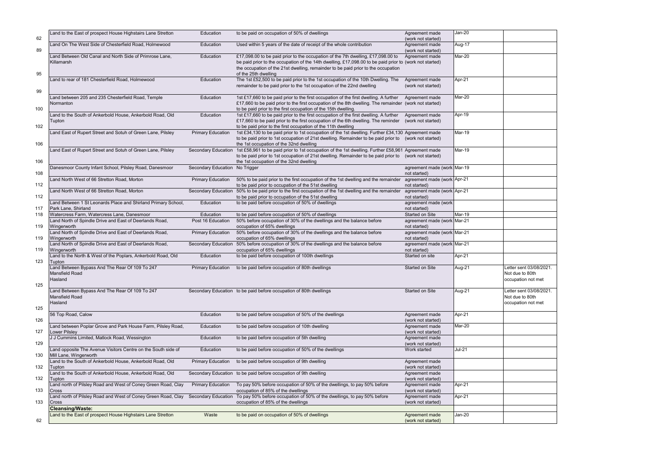|     | Land to the East of prospect House Highstairs Lane Stretton            | Education                      | to be paid on occupation of 50% of dwellings                                                                                                                                                                | Agreement made                              | Jan-20        |                         |
|-----|------------------------------------------------------------------------|--------------------------------|-------------------------------------------------------------------------------------------------------------------------------------------------------------------------------------------------------------|---------------------------------------------|---------------|-------------------------|
| 62  | Land On The West Side of Chesterfield Road, Holmewood                  | Education                      | Used within 5 years of the date of receipt of the whole contribution                                                                                                                                        | (work not started)                          | Aug-17        |                         |
| 89  |                                                                        |                                |                                                                                                                                                                                                             | Agreement made<br>(work not started)        |               |                         |
|     | Land Between Old Canal and North Side of Primrose Lane,                | Education                      | £17,098.00 to be paid prior to the occupation of the 7th dwelling, £17,098.00 to                                                                                                                            | Agreement made                              | Mar-20        |                         |
|     | Killamarsh                                                             |                                | be paid prior to the occupation of the 14th dwelling, £17,098.00 to be paid prior to (work not started)                                                                                                     |                                             |               |                         |
| 95  |                                                                        |                                | the occupation of the 21st dwelling, remainder to be paid prior to the occupation<br>of the 25th dwelling                                                                                                   |                                             |               |                         |
|     | Land to rear of 181 Chesterfield Road, Holmewood                       | Education                      | The 1st £52,500 to be paid prior to the 1st occupation of the 10th Dwelling. The                                                                                                                            | Agreement made                              | Apr-21        |                         |
|     |                                                                        |                                | remainder to be paid prior to the 1st occupation of the 22nd dwelling                                                                                                                                       | (work not started)                          |               |                         |
| 99  |                                                                        |                                |                                                                                                                                                                                                             |                                             |               |                         |
|     | Land between 205 and 235 Chesterfield Road, Temple<br>Normanton        | Education                      | 1st £17,660 to be paid prior to the first occupation of the first dwelling. A further<br>£17,660 to be paid prior to the first occupation of the 8th dwelling. The remainder (work not started)             | Agreement made                              | Mar-20        |                         |
| 100 |                                                                        |                                | to be paid prior to the first occupation of the 15th dwelling.                                                                                                                                              |                                             |               |                         |
|     | Land to the South of Ankerbold House, Ankerbold Road, Old              | Education                      | 1st £17,660 to be paid prior to the first occupation of the first dwelling. A further                                                                                                                       | Agreement made                              | Apr-19        |                         |
|     | Tupton                                                                 |                                | £17,660 to be paid prior to the first occupation of the 6th dwelling. The reminder                                                                                                                          | (work not started)                          |               |                         |
| 102 |                                                                        |                                | to be paid prior to the first occupation of the 11th dwelling                                                                                                                                               |                                             |               |                         |
|     | Land East of Rupert Street and Sotuh of Green Lane, Pilsley            | <b>Primary Education</b>       | 1st £34,130 to be paid prior to 1st occupation of the 1st dwelling. Further £34,130 Agreement made<br>to be paid prior to 1st occupation of 21st dwelling. Remainder to be paid prior to (work not started) |                                             | Mar-19        |                         |
| 106 |                                                                        |                                | the 1st occupation of the 32nd dwelling                                                                                                                                                                     |                                             |               |                         |
|     | Land East of Rupert Street and Sotuh of Green Lane, Pilsley            | Secondary Education            | 1st £58,961 to be paid prior to 1st occupation of the 1st dwelling. Further £58,961 Agreement made                                                                                                          |                                             | Mar-19        |                         |
|     |                                                                        |                                | to be paid prior to 1st occupation of 21st dwelling. Remainder to be paid prior to (work not started)                                                                                                       |                                             |               |                         |
| 106 | Danesmoor County Infant School, Pilsley Road, Danesmoor                | Secondary Education No Trigger | the 1st occupation of the 32nd dwelling                                                                                                                                                                     | agreement made (work Mar-19                 |               |                         |
| 108 |                                                                        |                                |                                                                                                                                                                                                             | not started)                                |               |                         |
|     | Land North West of 66 Stretton Road, Morton                            | <b>Primary Education</b>       | 50% to be paid prior to the first occupation of the 1st dwelling and the remainder                                                                                                                          | agreement made (work Apr-21                 |               |                         |
| 112 |                                                                        |                                | to be paid prior to occupation of the 51st dwelling                                                                                                                                                         | not started)                                |               |                         |
|     | Land North West of 66 Stretton Road, Morton                            | Secondary Education            | 50% to be paid prior to the first occupation of the 1st dwelling and the remainder agreement made (work Apr-21                                                                                              |                                             |               |                         |
| 112 | Land Between 1 St Leonards Place and Shirland Primary School,          | Education                      | to be paid prior to occupation of the 51st dwelling<br>to be paid before occupation of 50% of dwellings                                                                                                     | not started)<br>agreement made (work        |               |                         |
| 117 | Park Lane, Shirland                                                    |                                |                                                                                                                                                                                                             | not started)                                |               |                         |
| 118 | Watercress Farm, Watercress Lane, Danesmoor                            | Education                      | to be paid before occupation of 50% of dwellings                                                                                                                                                            | Started on Site                             | Mar-19        |                         |
|     | Land North of Spindle Drive and East of Deerlands Road,                | Post 16 Education              | 50% before occupation of 30% of the dwellings and the balance before                                                                                                                                        | agreement made (work Mar-21                 |               |                         |
| 119 | Wingerworth<br>Land North of Spindle Drive and East of Deerlands Road, | <b>Primary Education</b>       | occupation of 65% dwellings<br>50% before occupation of 30% of the dwellings and the balance before                                                                                                         | not started)<br>agreement made (work Mar-21 |               |                         |
| 119 | Wingerworth                                                            |                                | occupation of 65% dwellings                                                                                                                                                                                 | not started)                                |               |                         |
|     | Land North of Spindle Drive and East of Deerlands Road,                | Secondary Education            | 50% before occupation of 30% of the dwellings and the balance before                                                                                                                                        | agreement made (work Mar-21                 |               |                         |
| 119 | Wingerworth                                                            |                                | occupation of 65% dwellings                                                                                                                                                                                 | not started)                                |               |                         |
| 123 | Land to the North & West of the Poplars, Ankerbold Road, Old<br>Tupton | Education                      | to be paid before occupation of 100th dwellings                                                                                                                                                             | Started on site                             | Apr-21        |                         |
|     | Land Between Bypass And The Rear Of 109 To 247                         | <b>Primary Education</b>       | to be paid before occupation of 80th dwellings                                                                                                                                                              | Started on Site                             | Aug-21        | Letter sent 03/08/2021. |
|     | Mansfield Road                                                         |                                |                                                                                                                                                                                                             |                                             |               | Not due to 80th         |
| 125 | Hasland                                                                |                                |                                                                                                                                                                                                             |                                             |               | occupation not met      |
|     | Land Between Bypass And The Rear Of 109 To 247                         |                                | Secondary Education to be paid before occupation of 80th dwellings                                                                                                                                          | Started on Site                             | Aug-21        | Letter sent 03/08/2021. |
|     | Mansfield Road                                                         |                                |                                                                                                                                                                                                             |                                             |               | Not due to 80th         |
|     | Hasland                                                                |                                |                                                                                                                                                                                                             |                                             |               | occupation not met      |
| 125 | 56 Top Road, Calow                                                     | Education                      | to be paid before occupation of 50% of the dwellings                                                                                                                                                        | Agreement made                              | Apr-21        |                         |
| 126 |                                                                        |                                |                                                                                                                                                                                                             | (work not started)                          |               |                         |
|     | Land between Poplar Grove and Park House Farm, Pilsley Road,           | Education                      | to be paid before occupation of 10th dwelling                                                                                                                                                               | Agreement made                              | Mar-20        |                         |
| 127 | <b>Lower Pilsley</b>                                                   |                                |                                                                                                                                                                                                             | (work not started)                          |               |                         |
| 129 | J J Cummins Limited, Matlock Road, Wessington                          | Education                      | to be paid before occupation of 5th dwelling                                                                                                                                                                | Agreement made                              |               |                         |
|     | Land opposite The Avenue Visitors Centre on the South side of          | Education                      | to be paid before occupation of 50% of the dwellings                                                                                                                                                        | (work not started)<br>Work started          | <b>Jul-21</b> |                         |
| 130 | Mill Lane, Wingerworth                                                 |                                |                                                                                                                                                                                                             |                                             |               |                         |
|     | Land to the South of Ankerbold House, Ankerbold Road, Old              | <b>Primary Education</b>       | to be paid before occupation of 9th dwelling                                                                                                                                                                | Agreement made                              |               |                         |
| 132 | Tupton<br>Land to the South of Ankerbold House, Ankerbold Road, Old    |                                |                                                                                                                                                                                                             | (work not started)                          |               |                         |
| 132 | Tupton                                                                 |                                | Secondary Education to be paid before occupation of 9th dwelling                                                                                                                                            | Agreement made<br>(work not started)        |               |                         |
|     | Land north of Pilsley Road and West of Coney Green Road, Clay          | <b>Primary Education</b>       | To pay 50% before occupation of 50% of the dwellings, to pay 50% before                                                                                                                                     | Agreement made                              | Apr-21        |                         |
| 133 | Cross                                                                  |                                | occupation of 85% of the dwellings                                                                                                                                                                          | (work not started)                          |               |                         |
|     | Land north of Pilsley Road and West of Coney Green Road, Clay          | <b>Secondary Education</b>     | To pay 50% before occupation of 50% of the dwellings, to pay 50% before                                                                                                                                     | Agreement made                              | Apr-21        |                         |
| 133 | Cross<br><b>Cleansing/Waste:</b>                                       |                                | occupation of 85% of the dwellings                                                                                                                                                                          | (work not started)                          |               |                         |
|     | Land to the East of prospect House Highstairs Lane Stretton            | Waste                          | to be paid on occupation of 50% of dwellings                                                                                                                                                                | Agreement made                              | Jan-20        |                         |
| 62  |                                                                        |                                |                                                                                                                                                                                                             | (work not started)                          |               |                         |